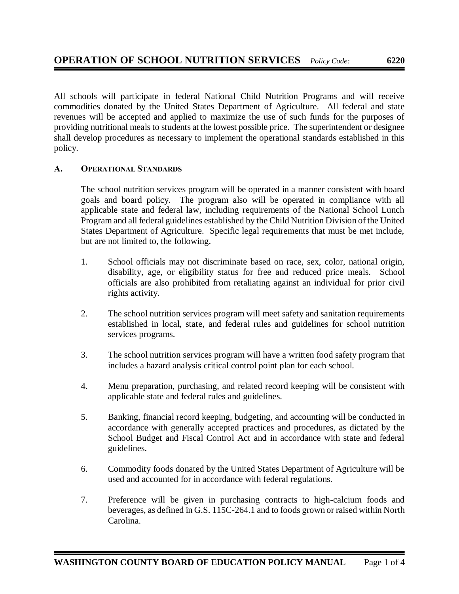All schools will participate in federal National Child Nutrition Programs and will receive commodities donated by the United States Department of Agriculture. All federal and state revenues will be accepted and applied to maximize the use of such funds for the purposes of providing nutritional meals to students at the lowest possible price. The superintendent or designee shall develop procedures as necessary to implement the operational standards established in this policy.

## **A. OPERATIONAL STANDARDS**

The school nutrition services program will be operated in a manner consistent with board goals and board policy. The program also will be operated in compliance with all applicable state and federal law, including requirements of the National School Lunch Program and all federal guidelines established by the Child Nutrition Division of the United States Department of Agriculture. Specific legal requirements that must be met include, but are not limited to, the following.

- 1. School officials may not discriminate based on race, sex, color, national origin, disability, age, or eligibility status for free and reduced price meals. School officials are also prohibited from retaliating against an individual for prior civil rights activity.
- 2. The school nutrition services program will meet safety and sanitation requirements established in local, state, and federal rules and guidelines for school nutrition services programs.
- 3. The school nutrition services program will have a written food safety program that includes a hazard analysis critical control point plan for each school.
- 4. Menu preparation, purchasing, and related record keeping will be consistent with applicable state and federal rules and guidelines.
- 5. Banking, financial record keeping, budgeting, and accounting will be conducted in accordance with generally accepted practices and procedures, as dictated by the School Budget and Fiscal Control Act and in accordance with state and federal guidelines.
- 6. Commodity foods donated by the United States Department of Agriculture will be used and accounted for in accordance with federal regulations.
- 7. Preference will be given in purchasing contracts to high-calcium foods and beverages, as defined in G.S. 115C-264.1 and to foods grown or raised within North Carolina.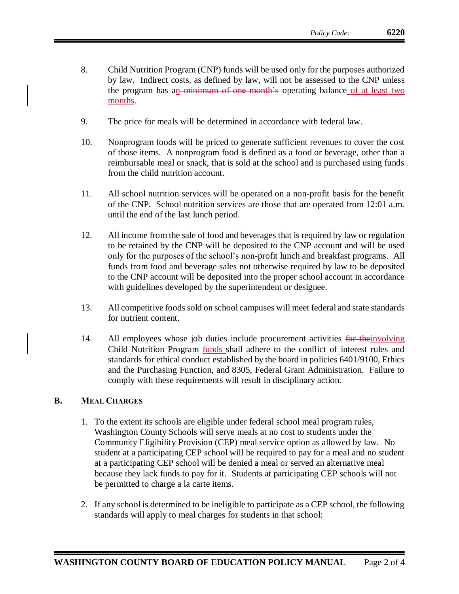- 8. Child Nutrition Program (CNP) funds will be used only for the purposes authorized by law. Indirect costs, as defined by law, will not be assessed to the CNP unless the program has an minimum of one month's operating balance of at least two months.
- 9. The price for meals will be determined in accordance with federal law.
- 10. Nonprogram foods will be priced to generate sufficient revenues to cover the cost of those items. A nonprogram food is defined as a food or beverage, other than a reimbursable meal or snack, that is sold at the school and is purchased using funds from the child nutrition account.
- 11. All school nutrition services will be operated on a non-profit basis for the benefit of the CNP. School nutrition services are those that are operated from 12:01 a.m. until the end of the last lunch period.
- 12. All income from the sale of food and beverages that is required by law or regulation to be retained by the CNP will be deposited to the CNP account and will be used only for the purposes of the school's non-profit lunch and breakfast programs. All funds from food and beverage sales not otherwise required by law to be deposited to the CNP account will be deposited into the proper school account in accordance with guidelines developed by the superintendent or designee.
- 13. All competitive foods sold on school campuses will meet federal and state standards for nutrient content.
- 14. All employees whose job duties include procurement activities for the involving Child Nutrition Program funds shall adhere to the conflict of interest rules and standards for ethical conduct established by the board in policies 6401/9100, Ethics and the Purchasing Function, and 8305, Federal Grant Administration. Failure to comply with these requirements will result in disciplinary action.

## **B. MEAL CHARGES**

- 1. To the extent its schools are eligible under federal school meal program rules, Washington County Schools will serve meals at no cost to students under the Community Eligibility Provision (CEP) meal service option as allowed by law. No student at a participating CEP school will be required to pay for a meal and no student at a participating CEP school will be denied a meal or served an alternative meal because they lack funds to pay for it. Students at participating CEP schools will not be permitted to charge a la carte items.
- 2. If any school is determined to be ineligible to participate as a CEP school, the following standards will apply to meal charges for students in that school: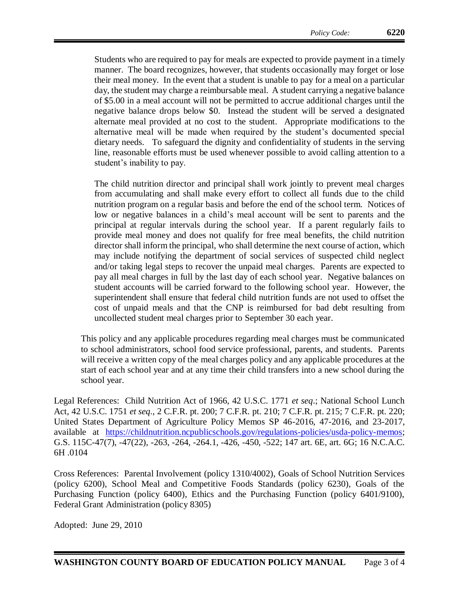Students who are required to pay for meals are expected to provide payment in a timely manner. The board recognizes, however, that students occasionally may forget or lose their meal money. In the event that a student is unable to pay for a meal on a particular day, the student may charge a reimbursable meal. A student carrying a negative balance of \$5.00 in a meal account will not be permitted to accrue additional charges until the negative balance drops below \$0. Instead the student will be served a designated alternate meal provided at no cost to the student. Appropriate modifications to the alternative meal will be made when required by the student's documented special dietary needs. To safeguard the dignity and confidentiality of students in the serving line, reasonable efforts must be used whenever possible to avoid calling attention to a student's inability to pay.

The child nutrition director and principal shall work jointly to prevent meal charges from accumulating and shall make every effort to collect all funds due to the child nutrition program on a regular basis and before the end of the school term. Notices of low or negative balances in a child's meal account will be sent to parents and the principal at regular intervals during the school year. If a parent regularly fails to provide meal money and does not qualify for free meal benefits, the child nutrition director shall inform the principal, who shall determine the next course of action, which may include notifying the department of social services of suspected child neglect and/or taking legal steps to recover the unpaid meal charges. Parents are expected to pay all meal charges in full by the last day of each school year. Negative balances on student accounts will be carried forward to the following school year. However, the superintendent shall ensure that federal child nutrition funds are not used to offset the cost of unpaid meals and that the CNP is reimbursed for bad debt resulting from uncollected student meal charges prior to September 30 each year.

This policy and any applicable procedures regarding meal charges must be communicated to school administrators, school food service professional, parents, and students. Parents will receive a written copy of the meal charges policy and any applicable procedures at the start of each school year and at any time their child transfers into a new school during the school year.

Legal References: Child Nutrition Act of 1966, 42 U.S.C. 1771 *et seq*.; National School Lunch Act, 42 U.S.C. 1751 *et seq*., 2 C.F.R. pt. 200; 7 C.F.R. pt. 210; 7 C.F.R. pt. 215; 7 C.F.R. pt. 220; United States Department of Agriculture Policy Memos SP 46-2016, 47-2016, and 23-2017, available at <u>https://childnutrition.ncpublicschools.gov/regulations-policies/usda-policy-memos</u>; G.S. 115C-47(7), -47(22), -263, -264, -264.1, -426, -450, -522; 147 art. 6E, art. 6G; 16 N.C.A.C. 6H .0104

Cross References: Parental Involvement (policy 1310/4002), Goals of School Nutrition Services (policy 6200), School Meal and Competitive Foods Standards (policy 6230), Goals of the Purchasing Function (policy 6400), Ethics and the Purchasing Function (policy 6401/9100), Federal Grant Administration (policy 8305)

Adopted: June 29, 2010